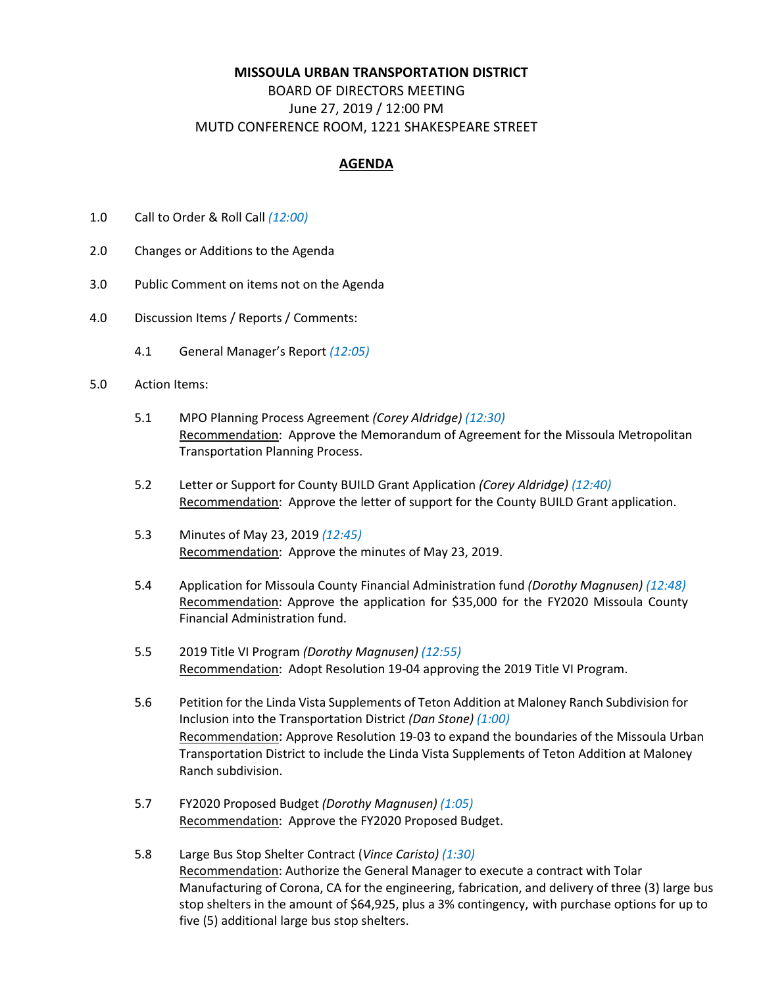## **MISSOULA URBAN TRANSPORTATION DISTRICT**

## BOARD OF DIRECTORS MEETING June 27, 2019 / 12:00 PM MUTD CONFERENCE ROOM, 1221 SHAKESPEARE STREET

## **AGENDA**

- 1.0 Call to Order & Roll Call *(12:00)*
- 2.0 Changes or Additions to the Agenda
- 3.0 Public Comment on items not on the Agenda
- 4.0 Discussion Items / Reports / Comments:
	- 4.1 General Manager's Report *(12:05)*
- 5.0 Action Items:
	- 5.1 MPO Planning Process Agreement *(Corey Aldridge) (12:30)* Recommendation: Approve the Memorandum of Agreement for the Missoula Metropolitan Transportation Planning Process.
	- 5.2 Letter or Support for County BUILD Grant Application *(Corey Aldridge) (12:40)* Recommendation: Approve the letter of support for the County BUILD Grant application.
	- 5.3 Minutes of May 23, 2019 *(12:45)* Recommendation: Approve the minutes of May 23, 2019.
	- 5.4 Application for Missoula County Financial Administration fund *(Dorothy Magnusen) (12:48)* Recommendation: Approve the application for \$35,000 for the FY2020 Missoula County Financial Administration fund.
	- 5.5 2019 Title VI Program *(Dorothy Magnusen) (12:55)* Recommendation: Adopt Resolution 19-04 approving the 2019 Title VI Program.
	- 5.6 Petition for the Linda Vista Supplements of Teton Addition at Maloney Ranch Subdivision for Inclusion into the Transportation District *(Dan Stone) (1:00)* Recommendation: Approve Resolution 19-03 to expand the boundaries of the Missoula Urban Transportation District to include the Linda Vista Supplements of Teton Addition at Maloney Ranch subdivision.
	- 5.7 FY2020 Proposed Budget *(Dorothy Magnusen) (1:05)* Recommendation: Approve the FY2020 Proposed Budget.
	- 5.8 Large Bus Stop Shelter Contract (*Vince Caristo) (1:30)* Recommendation: Authorize the General Manager to execute a contract with Tolar Manufacturing of Corona, CA for the engineering, fabrication, and delivery of three (3) large bus stop shelters in the amount of \$64,925, plus a 3% contingency, with purchase options for up to five (5) additional large bus stop shelters.